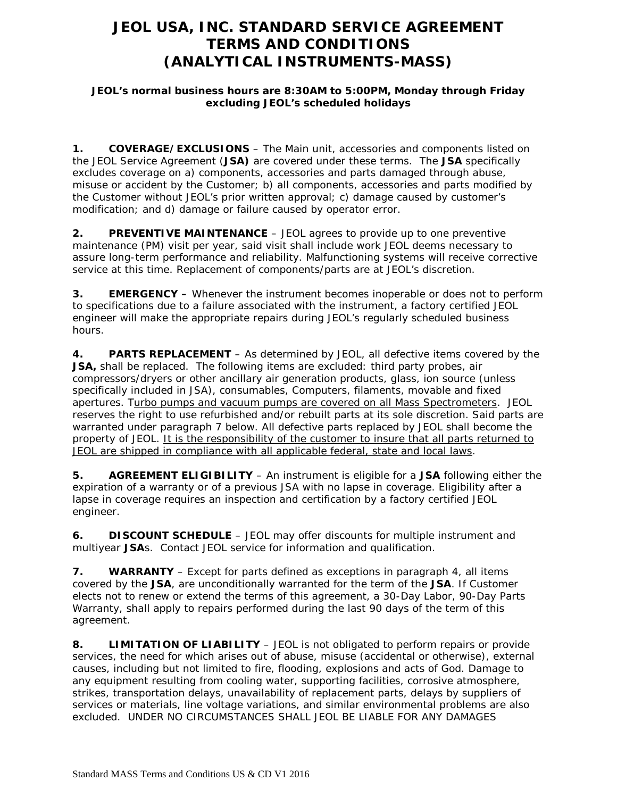# **JEOL USA, INC. STANDARD SERVICE AGREEMENT TERMS AND CONDITIONS (ANALYTICAL INSTRUMENTS-MASS)**

### **JEOL's normal business hours are 8:30AM to 5:00PM, Monday through Friday excluding JEOL's scheduled holidays**

**1. COVERAGE/EXCLUSIONS** – The Main unit, accessories and components listed on the JEOL Service Agreement (**JSA)** are covered under these terms. The **JSA** specifically excludes coverage on a) components, accessories and parts damaged through abuse, misuse or accident by the Customer; b) all components, accessories and parts modified by the Customer without JEOL's prior written approval; c) damage caused by customer's modification; and d) damage or failure caused by operator error.

**2. PREVENTIVE MAINTENANCE** – JEOL agrees to provide up to one preventive maintenance (PM) visit per year, said visit shall include work JEOL deems necessary to assure long-term performance and reliability. Malfunctioning systems will receive corrective service at this time. Replacement of components/parts are at JEOL's discretion.

**3. EMERGENCY –** Whenever the instrument becomes inoperable or does not to perform to specifications due to a failure associated with the instrument, a factory certified JEOL engineer will make the appropriate repairs during JEOL's regularly scheduled business hours.

**4. PARTS REPLACEMENT** – As determined by JEOL, all defective items covered by the **JSA,** shall be replaced. The following items are excluded: third party probes, air compressors/dryers or other ancillary air generation products, glass, ion source (unless specifically included in JSA), consumables, Computers, filaments, movable and fixed apertures. Turbo pumps and vacuum pumps are covered on all Mass Spectrometers. JEOL reserves the right to use refurbished and/or rebuilt parts at its sole discretion. Said parts are warranted under paragraph 7 below. All defective parts replaced by JEOL shall become the property of JEOL. It is the responsibility of the customer to insure that all parts returned to JEOL are shipped in compliance with all applicable federal, state and local laws.

**5. AGREEMENT ELIGIBILITY** – An instrument is eligible for a **JSA** following either the expiration of a warranty or of a previous JSA with no lapse in coverage. Eligibility after a lapse in coverage requires an inspection and certification by a factory certified JEOL engineer.

**6. DISCOUNT SCHEDULE** – JEOL may offer discounts for multiple instrument and multiyear **JSA**s. Contact JEOL service for information and qualification.

**7. WARRANTY** – Except for parts defined as exceptions in paragraph 4, all items covered by the **JSA**, are unconditionally warranted for the term of the **JSA**. If Customer elects not to renew or extend the terms of this agreement, a 30-Day Labor, 90-Day Parts Warranty, shall apply to repairs performed during the last 90 days of the term of this agreement.

**8. LIMITATION OF LIABILITY** – JEOL is not obligated to perform repairs or provide services, the need for which arises out of abuse, misuse (accidental or otherwise), external causes, including but not limited to fire, flooding, explosions and acts of God. Damage to any equipment resulting from cooling water, supporting facilities, corrosive atmosphere, strikes, transportation delays, unavailability of replacement parts, delays by suppliers of services or materials, line voltage variations, and similar environmental problems are also excluded. UNDER NO CIRCUMSTANCES SHALL JEOL BE LIABLE FOR ANY DAMAGES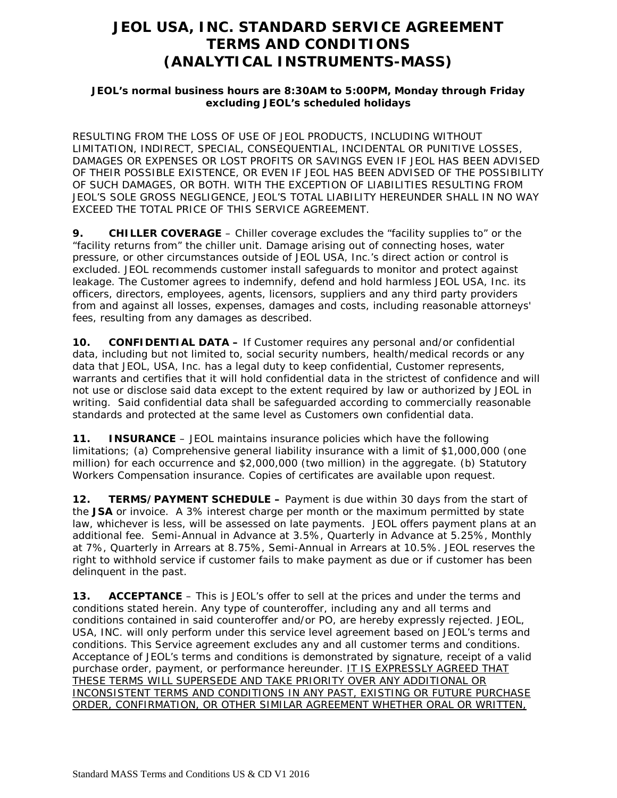# **JEOL USA, INC. STANDARD SERVICE AGREEMENT TERMS AND CONDITIONS (ANALYTICAL INSTRUMENTS-MASS)**

### **JEOL's normal business hours are 8:30AM to 5:00PM, Monday through Friday excluding JEOL's scheduled holidays**

RESULTING FROM THE LOSS OF USE OF JEOL PRODUCTS, INCLUDING WITHOUT LIMITATION, INDIRECT, SPECIAL, CONSEQUENTIAL, INCIDENTAL OR PUNITIVE LOSSES, DAMAGES OR EXPENSES OR LOST PROFITS OR SAVINGS EVEN IF JEOL HAS BEEN ADVISED OF THEIR POSSIBLE EXISTENCE, OR EVEN IF JEOL HAS BEEN ADVISED OF THE POSSIBILITY OF SUCH DAMAGES, OR BOTH. WITH THE EXCEPTION OF LIABILITIES RESULTING FROM JEOL'S SOLE GROSS NEGLIGENCE, JEOL'S TOTAL LIABILITY HEREUNDER SHALL IN NO WAY EXCEED THE TOTAL PRICE OF THIS SERVICE AGREEMENT.

**9. CHILLER COVERAGE** – Chiller coverage excludes the "facility supplies to" or the "facility returns from" the chiller unit. Damage arising out of connecting hoses, water pressure, or other circumstances outside of JEOL USA, Inc.'s direct action or control is excluded. JEOL recommends customer install safeguards to monitor and protect against leakage. The Customer agrees to indemnify, defend and hold harmless JEOL USA, Inc. its officers, directors, employees, agents, licensors, suppliers and any third party providers from and against all losses, expenses, damages and costs, including reasonable attorneys' fees, resulting from any damages as described.

**10. CONFIDENTIAL DATA –** If Customer requires any personal and/or confidential data, including but not limited to, social security numbers, health/medical records or any data that JEOL, USA, Inc. has a legal duty to keep confidential, Customer represents, warrants and certifies that it will hold confidential data in the strictest of confidence and will not use or disclose said data except to the extent required by law or authorized by JEOL in writing. Said confidential data shall be safeguarded according to commercially reasonable standards and protected at the same level as Customers own confidential data.

**11. INSURANCE** – JEOL maintains insurance policies which have the following limitations; (a) Comprehensive general liability insurance with a limit of \$1,000,000 (one million) for each occurrence and \$2,000,000 (two million) in the aggregate. (b) Statutory Workers Compensation insurance. Copies of certificates are available upon request.

**12. TERMS/PAYMENT SCHEDULE –** Payment is due within 30 days from the start of the **JSA** or invoice. A 3% interest charge per month or the maximum permitted by state law, whichever is less, will be assessed on late payments. JEOL offers payment plans at an additional fee. Semi-Annual in Advance at 3.5%, Quarterly in Advance at 5.25%, Monthly at 7%, Quarterly in Arrears at 8.75%, Semi-Annual in Arrears at 10.5%. JEOL reserves the right to withhold service if customer fails to make payment as due or if customer has been delinquent in the past.

**13. ACCEPTANCE** – This is JEOL's offer to sell at the prices and under the terms and conditions stated herein. Any type of counteroffer, including any and all terms and conditions contained in said counteroffer and/or PO, are hereby expressly rejected. JEOL, USA, INC. will only perform under this service level agreement based on JEOL's terms and conditions. This Service agreement excludes any and all customer terms and conditions. Acceptance of JEOL's terms and conditions is demonstrated by signature, receipt of a valid purchase order, payment, or performance hereunder. IT IS EXPRESSLY AGREED THAT THESE TERMS WILL SUPERSEDE AND TAKE PRIORITY OVER ANY ADDITIONAL OR INCONSISTENT TERMS AND CONDITIONS IN ANY PAST, EXISTING OR FUTURE PURCHASE ORDER, CONFIRMATION, OR OTHER SIMILAR AGREEMENT WHETHER ORAL OR WRITTEN,